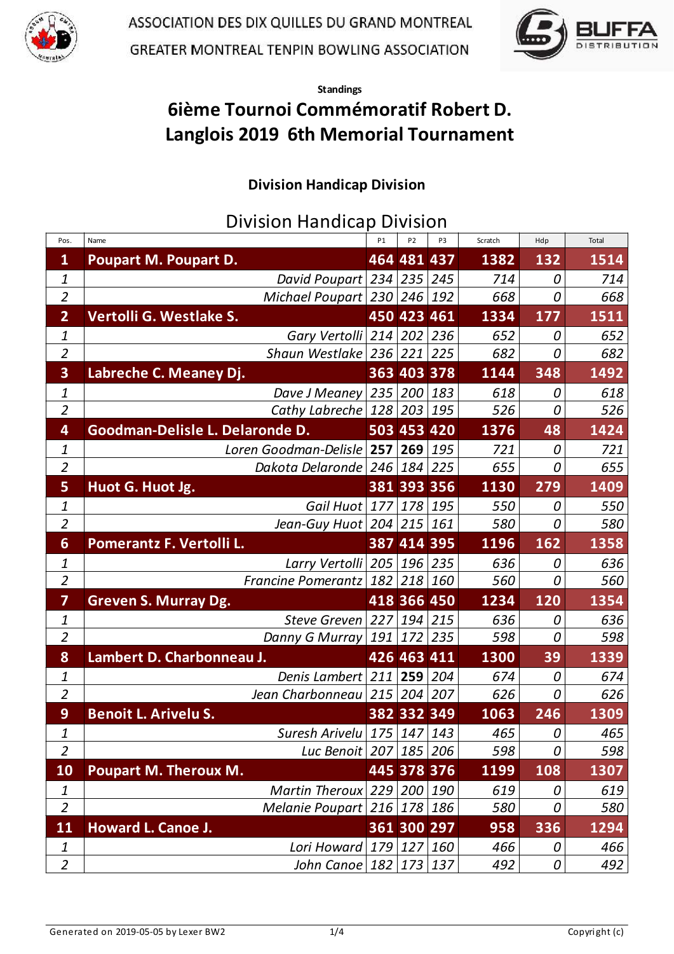



Standings

## 6ième Tournoi Commémoratif Robert D. Langlois 2019 6th Memorial Tournament

## Division Handicap Division

Division Handicap Division

| Pos.                    | Name                              | <b>P1</b>   | P <sub>2</sub> | P3  | Scratch | Hdp      | Total |
|-------------------------|-----------------------------------|-------------|----------------|-----|---------|----------|-------|
| $\mathbf{1}$            | <b>Poupart M. Poupart D.</b>      |             | 464 481 437    |     | 1382    | 132      | 1514  |
| 1                       | David Poupart   234   235   245   |             |                |     | 714     | 0        | 714   |
| $\overline{2}$          | Michael Poupart $ 230 246 192$    |             |                |     | 668     | 0        | 668   |
| $\overline{2}$          | Vertolli G. Westlake S.           |             | 450 423 461    |     | 1334    | 177      | 1511  |
| 1                       | Gary Vertolli 214 202 236         |             |                |     | 652     | 0        | 652   |
| $\overline{2}$          | Shaun Westlake 236 221 225        |             |                |     | 682     | 0        | 682   |
| $\overline{\mathbf{3}}$ | Labreche C. Meaney Dj.            |             | 363 403 378    |     | 1144    | 348      | 1492  |
| 1                       | Dave J Meaney                     | 235 200 183 |                |     | 618     | 0        | 618   |
| $\overline{2}$          | Cathy Labreche $ 128 203 195$     |             |                |     | 526     | 0        | 526   |
| $\overline{\mathbf{4}}$ | Goodman-Delisle L. Delaronde D.   |             | 503 453 420    |     | 1376    | 48       | 1424  |
| 1                       | Loren Goodman-Delisle 257 269 195 |             |                |     | 721     | 0        | 721   |
| $\overline{2}$          | Dakota Delaronde $ 246 184 225$   |             |                |     | 655     | 0        | 655   |
| 5                       | Huot G. Huot Jg.                  |             | 381 393 356    |     | 1130    | 279      | 1409  |
| 1                       | Gail Huot 177                     |             | $178$ 195      |     | 550     | 0        | 550   |
| $\overline{a}$          | Jean-Guy Huot   204   215   161   |             |                |     | 580     | 0        | 580   |
| $6 \overline{6}$        | Pomerantz F. Vertolli L.          |             | 387 414 395    |     | 1196    | 162      | 1358  |
| 1                       | Larry Vertolli   205   196   235  |             |                |     | 636     | 0        | 636   |
| $\overline{2}$          | Francine Pomerantz $182$ 218 160  |             |                |     | 560     | 0        | 560   |
| $\overline{7}$          | <b>Greven S. Murray Dg.</b>       |             | 418 366 450    |     | 1234    | 120      | 1354  |
| 1                       | <b>Steve Greven</b>               | 227         | $194$ 215      |     | 636     | 0        | 636   |
| $\overline{2}$          | Danny G Murray                    |             | 191 172        | 235 | 598     | $\it{O}$ | 598   |
| 8                       | Lambert D. Charbonneau J.         |             | 426 463 411    |     | 1300    | 39       | 1339  |
| 1                       | Denis Lambert 211 259 204         |             |                |     | 674     | 0        | 674   |
| $\overline{2}$          | Jean Charbonneau $ 215 204 207$   |             |                |     | 626     | 0        | 626   |
| 9                       | <b>Benoit L. Arivelu S.</b>       |             | 382 332 349    |     | 1063    | 246      | 1309  |
| 1                       | Suresh Arivelu $175$ $147$ $143$  |             |                |     | 465     | 0        | 465   |
| $\overline{2}$          | Luc Benoit   207   185   206      |             |                |     | 598     | 0        | 598   |
| <b>10</b>               | <b>Poupart M. Theroux M.</b>      |             | 445 378 376    |     | 1199    | 108      | 1307  |
| 1                       | Martin Theroux $229$ $200$ $190$  |             |                |     | 619     | 0        | 619   |
| $\overline{a}$          | Melanie Poupart $216$ 178 186     |             |                |     | 580     | 0        | 580   |
| <b>11</b>               | Howard L. Canoe J.                |             | 361 300 297    |     | 958     | 336      | 1294  |
| 1                       | Lori Howard 179 127 160           |             |                |     | 466     | 0        | 466   |
| $\overline{a}$          | John Canoe   182   173   137      |             |                |     | 492     | 0        | 492   |
|                         |                                   |             |                |     |         |          |       |